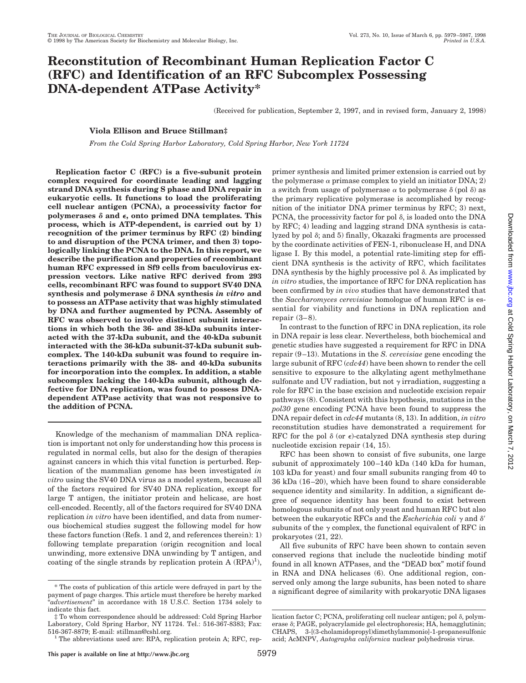# **Reconstitution of Recombinant Human Replication Factor C (RFC) and Identification of an RFC Subcomplex Possessing DNA-dependent ATPase Activity\***

(Received for publication, September 2, 1997, and in revised form, January 2, 1998)

## **Viola Ellison and Bruce Stillman‡**

*From the Cold Spring Harbor Laboratory, Cold Spring Harbor, New York 11724*

**Replication factor C (RFC) is a five-subunit protein complex required for coordinate leading and lagging strand DNA synthesis during S phase and DNA repair in eukaryotic cells. It functions to load the proliferating cell nuclear antigen (PCNA), a processivity factor for** polymerases  $\delta$  and  $\epsilon$ , onto primed DNA templates. This **process, which is ATP-dependent, is carried out by 1) recognition of the primer terminus by RFC (2) binding to and disruption of the PCNA trimer, and then 3) topologically linking the PCNA to the DNA. In this report, we describe the purification and properties of recombinant human RFC expressed in Sf9 cells from baculovirus expression vectors. Like native RFC derived from 293 cells, recombinant RFC was found to support SV40 DNA synthesis and polymerase** d **DNA synthesis** *in vitro* **and to possess an ATPase activity that was highly stimulated by DNA and further augmented by PCNA. Assembly of RFC was observed to involve distinct subunit interactions in which both the 36- and 38-kDa subunits interacted with the 37-kDa subunit, and the 40-kDa subunit interacted with the 36-kDa subunit-37-kDa subunit subcomplex. The 140-kDa subunit was found to require interactions primarily with the 38- and 40-kDa subunits for incorporation into the complex. In addition, a stable subcomplex lacking the 140-kDa subunit, although defective for DNA replication, was found to possess DNAdependent ATPase activity that was not responsive to the addition of PCNA.**

Knowledge of the mechanism of mammalian DNA replication is important not only for understanding how this process is regulated in normal cells, but also for the design of therapies against cancers in which this vital function is perturbed. Replication of the mammalian genome has been investigated *in vitro* using the SV40 DNA virus as a model system, because all of the factors required for SV40 DNA replication, except for large T antigen, the initiator protein and helicase, are host cell-encoded. Recently, all of the factors required for SV40 DNA replication *in vitro* have been identified, and data from numerous biochemical studies suggest the following model for how these factors function (Refs. 1 and 2, and references therein): 1) following template preparation (origin recognition and local unwinding, more extensive DNA unwinding by T antigen, and coating of the single strands by replication protein  $A (RPA)<sup>1</sup>$ ),

primer synthesis and limited primer extension is carried out by the polymerase  $\alpha$  primase complex to yield an initiator DNA; 2) a switch from usage of polymerase  $\alpha$  to polymerase  $\delta$  (pol  $\delta$ ) as the primary replicative polymerase is accomplished by recognition of the initiator DNA primer terminus by RFC; 3) next, PCNA, the processivity factor for pol  $\delta$ , is loaded onto the DNA by RFC; 4) leading and lagging strand DNA synthesis is catalyzed by pol  $\delta$ ; and  $5$ ) finally, Okazaki fragments are processed by the coordinate activities of FEN-1, ribonuclease H, and DNA ligase I. By this model, a potential rate-limiting step for efficient DNA synthesis is the activity of RFC, which facilitates  $DNA$  synthesis by the highly processive pol  $\delta$ . As implicated by *in vitro* studies, the importance of RFC for DNA replication has been confirmed by *in vivo* studies that have demonstrated that the *Saccharomyces cerevisiae* homologue of human RFC is essential for viability and functions in DNA replication and repair  $(3-8)$ .

In contrast to the function of RFC in DNA replication, its role in DNA repair is less clear. Nevertheless, both biochemical and genetic studies have suggested a requirement for RFC in DNA repair (9–13). Mutations in the *S. cerevisiae* gene encoding the large subunit of RFC (*cdc44*) have been shown to render the cell sensitive to exposure to the alkylating agent methylmethane sulfonate and UV radiation, but not  $\gamma$  irradiation, suggesting a role for RFC in the base excision and nucleotide excision repair pathways (8). Consistent with this hypothesis, mutations in the *pol30* gene encoding PCNA have been found to suppress the DNA repair defect in *cdc44* mutants (8, 13). In addition, *in vitro* reconstitution studies have demonstrated a requirement for RFC for the pol  $\delta$  (or  $\epsilon$ )-catalyzed DNA synthesis step during nucleotide excision repair (14, 15).

RFC has been shown to consist of five subunits, one large subunit of approximately 100–140 kDa (140 kDa for human, 103 kDa for yeast) and four small subunits ranging from 40 to 36 kDa (16–20), which have been found to share considerable sequence identity and similarity. In addition, a significant degree of sequence identity has been found to exist between homologous subunits of not only yeast and human RFC but also between the eukaryotic RFCs and the *Escherichia coli*  $\gamma$  and  $\delta'$ subunits of the  $\gamma$  complex, the functional equivalent of RFC in prokaryotes (21, 22).

All five subunits of RFC have been shown to contain seven conserved regions that include the nucleotide binding motif found in all known ATPases, and the "DEAD box" motif found in RNA and DNA helicases (6). One additional region, conserved only among the large subunits, has been noted to share <sup>\*</sup> The costs of publication of this article were defrayed in part by the a significant degree of similarity with prokaryotic DNA ligases the costs of publication of this article were defrayed in part by the a significant

payment of page charges. This article must therefore be hereby marked "*advertisement*" in accordance with 18 U.S.C. Section 1734 solely to indicate this fact.

<sup>‡</sup> To whom correspondence should be addressed: Cold Spring Harbor Laboratory, Cold Spring Harbor, NY 11724. Tel.: 516-367-8383; Fax:

<sup>516-367-8879;</sup> E-mail: stillman@cshl.org.<br><sup>1</sup> The abbreviations used are: RPA, replication protein A; RFC, rep-

lication factor C; PCNA, proliferating cell nuclear antigen; pol  $\delta$ , polymerase <sup>d</sup>; PAGE, polyacrylamide gel electrophoresis; HA, hemagglutinin; CHAPS, 3-[(3-cholamidopropyl)dimethylammonio]-1-propanesulfonic acid; AcMNPV, *Autographa californica* nuclear polyhedrosis virus.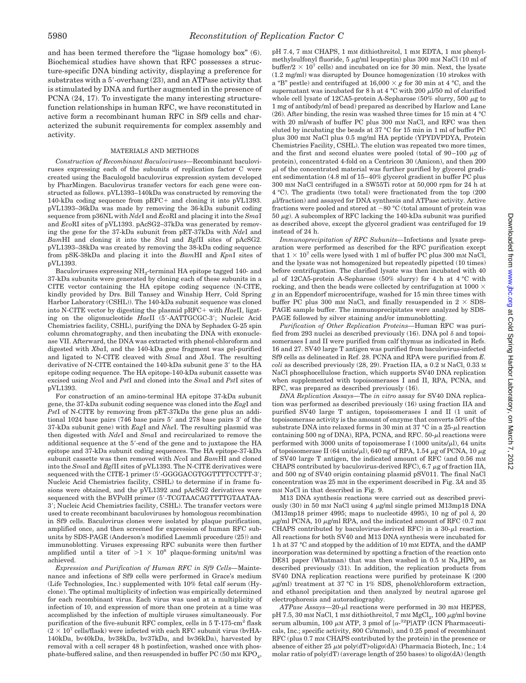and has been termed therefore the "ligase homology box" (6). Biochemical studies have shown that RFC possesses a structure-specific DNA binding activity, displaying a preference for substrates with a  $5'$ -overhang (23), and an ATPase activity that is stimulated by DNA and further augmented in the presence of PCNA (24, 17). To investigate the many interesting structurefunction relationships in human RFC, we have reconstituted in active form a recombinant human RFC in Sf9 cells and characterized the subunit requirements for complex assembly and activity.

#### MATERIALS AND METHODS

*Construction of Recombinant Baculoviruses—*Recombinant baculoviruses expressing each of the subunits of replication factor C were created using the Baculogold baculovirus expression system developed by PharMingen. Baculovirus transfer vectors for each gene were constructed as follows. pVL1393–140kDa was constructed by removing the 140-kDa coding sequence from  $pRFC+$  and cloning it into  $pVL1393$ . pVL1393–36kDa was made by removing the 36-kDa subunit coding sequence from p36NL with *Nde*I and *Eco*RI and placing it into the *Sma*I and *Eco*RI sites of pVL1393. pAcSG2–37kDa was generated by removing the gene for the 37-kDa subunit from pET-37kDa with *Nde*I and *Bam*HI and cloning it into the *Stu*I and *Bgl*II sites of pAcSG2. pVL1393–38kDa was created by removing the 38-kDa coding sequence from pSK-38kDa and placing it into the *Bam*HI and *Kpn*I sites of pVL1393.

Baculoviruses expressing NH<sub>2</sub>-terminal HA epitope tagged 140- and 37-kDa subunits were generated by cloning each of these subunits in a CITE vector containing the HA epitope coding sequence (N-CITE, kindly provided by Drs. Bill Tansey and Winship Herr, Cold Spring Harbor Laboratory (CSHL)). The 140-kDa subunit sequence was cloned into N-CITE vector by digesting the plasmid pRFC+ with *HaeII*, ligating on the oligonucleotide *HaeII* (5'-AATTGCGC-3'; Nucleic Acid Chemistries facility, CSHL), purifying the DNA by Sephadex G-25 spin column chromatography, and then incubating the DNA with exonuclease VII. Afterward, the DNA was extracted with phenol-chloroform and digested with *Xba*I, and the 140-kDa gene fragment was gel-purified and ligated to N-CITE cleaved with *Sma*I and *Xba*I. The resulting derivative of N-CITE contained the  $140$ -kDa subunit gene  $3'$  to the HA epitope coding sequence. The HA epitope-140-kDa subunit cassette was excised using *Nco*I and *Pst*I and cloned into the *Sma*I and *Pst*I sites of pVL1393.

For construction of an amino-terminal HA epitope 37-kDa subunit gene, the 37-kDa subunit coding sequence was cloned into the *Eag*I and *Pst*I of N-CITE by removing from pET-37kDa the gene plus an additional  $1024$  base pairs  $(746)$  base pairs 5' and 278 base pairs 3' of the 37-kDa subunit gene) with *Eag*I and *Nhe*I. The resulting plasmid was then digested with *Nde*I and *Sma*I and recircularized to remove the additional sequence at the 5'-end of the gene and to juxtapose the HA epitope and 37-kDa subunit coding sequences. The HA epitope-37-kDa subunit cassette was then removed with *Nco*I and *Bam*HI and cloned into the *Sma*I and *Bgl*II sites of pVL1393. The N-CITE derivatives were sequenced with the CITE-1 primer (5'-GGGGACGTGGTTTTCCTTT-3'; Nucleic Acid Chemistries facility, CSHL) to determine if in frame fusions were obtained, and the pVL1392 and pAcSG2 derivatives were sequenced with the BVPolH primer (5'-TCGTAACAGTTTTGTAATAA-3'; Nucleic Acid Chemistries facility, CSHL). The transfer vectors were used to create recombinant baculoviruses by homologous recombination in Sf9 cells. Baculovirus clones were isolated by plaque purification, amplified once, and then screened for expression of human RFC subunits by SDS-PAGE (Anderson's modified Laemmli procedure (25)) and immunoblotting. Viruses expressing RFC subunits were then further amplified until a titer of  $>1 \times 10^8$  plaque-forming units/ml was achieved.

*Expression and Purification of Human RFC in Sf9 Cells—*Maintenance and infections of Sf9 cells were performed in Grace's medium (Life Technologies, Inc.) supplemented with 10% fetal calf serum (Hyclone). The optimal multiplicity of infection was empirically determined for each recombinant virus. Each virus was used at a multiplicity of infection of 10, and expression of more than one protein at a time was accomplished by the infection of multiple viruses simultaneously. For purification of the five-subunit RFC complex, cells in 5 T-175-cm<sup>2</sup> flask  $(2 \times 10^7 \text{ cells/flask})$  were infected with each RFC subunit virus (bvHA-140kDa, bv40kDa, bv38kDa, bv37kDa, and bv36kDa), harvested by removal with a cell scraper 48 h postinfection, washed once with phosphate-buffered saline, and then resuspended in buffer  $PC(50 \text{ mm KPO}_4,$ 

pH 7.4, 7 mM CHAPS, 1 mM dithiothreitol, 1 mM EDTA, 1 mM phenylmethylsulfonyl fluoride,  $5 \mu g/ml$  leupeptin) plus 300 mM NaCl (10 ml of buffer/2  $\times$  10<sup>7</sup> cells) and incubated on ice for 30 min. Next, the lysate (1.2 mg/ml) was disrupted by Dounce homogenization (10 strokes with a "B" pestle) and centrifuged at  $16,000 \times g$  for 30 min at 4 °C, and the supernatant was incubated for 8 h at 4 °C with 200  $\mu$ l/50 ml of clarified whole cell lysate of 12CA5-protein A-Sepharose (50% slurry, 500  $\mu$ g to 1 mg of antibody/ml of bead) prepared as described by Harlow and Lane (26). After binding, the resin was washed three times for 15 min at 4 °C with 20 ml/wash of buffer PC plus 300 mM NaCl, and RFC was then eluted by incubating the beads at 37 °C for 15 min in 1 ml of buffer PC plus 300 mM NaCl plus 0.5 mg/ml HA peptide (YPYDVPDYA, Protein Chemistries Facility, CSHL). The elution was repeated two more times, and the first and second eluates were pooled (total of  $90-100 \mu$ g of protein), concentrated 4-fold on a Centricon 30 (Amicon), and then 200  $\mu$ l of the concentrated material was further purified by glycerol gradient sedimentation (4.8 ml of 15–40% glycerol gradient in buffer PC plus 300 mM NaCl centrifuged in a SW55Ti rotor at 50,000 rpm for 24 h at 4 °C). The gradients (two total) were fractionated from the top (200  $\mu$ I/fraction) and assayed for DNA synthesis and ATPase activity. Active fractions were pooled and stored at  $-80$  °C (total amount of protein was  $50~\mu{\rm g}$  ). A subcomplex of RFC lacking the 140-kDa subunit was purified as described above, except the glycerol gradient was centrifuged for 19 instead of 24 h.

*Immunoprecipitation of RFC Subunits—*Infections and lysate preparation were performed as described for the RFC purification except that  $1 \times 10^7$  cells were lysed with 1 ml of buffer PC plus 300 mM NaCl, and the lysate was not homogenized but repeatedly pipetted (10 times) before centrifugation. The clarified lysate was then incubated with 40  $\mu$ l of 12CA5-protein A-Sepharose (50% slurry) for 4 h at 4 °C with rocking, and then the beads were collected by centrifugation at 1000  $\times$ *g* in an Eppendorf microcentrifuge, washed for 15 min three times with buffer PC plus 300 mM NaCl, and finally resuspended in  $2 \times$  SDS-PAGE sample buffer. The immunoprecipitates were analyzed by SDS-PAGE followed by silver staining and/or immunoblotting.

*Purification of Other Replication Proteins—*Human RFC was purified from 293 nuclei as described previously (16). DNA pol  $\delta$  and topoisomerases I and II were purified from calf thymus as indicated in Refs. 16 and 27. SV40 large T antigen was purified from baculovirus-infected Sf9 cells as delineated in Ref. 28. PCNA and RPA were purified from *E. coli* as described previously (28, 29). Fraction IIA, a 0.2 M NaCl, 0.33 M NaCl phosphocellulose fraction, which supports SV40 DNA replication when supplemented with topoisomerases I and II, RPA, PCNA, and RFC, was prepared as described previously (16).

*DNA Replication Assays—*The *in vitro* assay for SV40 DNA replication was performed as described previously (16) using fraction IIA and purified SV40 large T antigen, topoisomerases I and II (1 unit of topoisomerase activity is the amount of enzyme that converts 50% of the substrate DNA into relaxed forms in 30 min at 37 °C in a 25- $\mu$ l reaction containing 500 ng of DNA), RPA, PCNA, and RFC.  $50$ - $\mu$ l reactions were performed with 3000 units of topoisomerase I (1000 units/ $\mu$ l), 64 units of topoisomerase II (64 units/ $\mu$ l), 640 ng of RPA, 1.54  $\mu$ g of PCNA, 10  $\mu$ g of SV40 large T antigen, the indicated amount of RFC (and 0.56 mM CHAPS contributed by baculovirus-derived RFC), 6.7  $\mu$ g of fraction IIA, and 500 ng of SV40 origin containing plasmid pSV011. The final NaCl concentration was 25 mM in the experiment described in Fig. 3*A* and 35 mM NaCl in that described in Fig. 9.

M13 DNA synthesis reactions were carried out as described previously (30) in 50 mm NaCl using 4  $\mu$ g/ml single primed M13mp18 DNA  $(M13 \text{mp18} \text{ primer } 4995$ ; maps to nucleotide 4995), 10 ng of pol  $\delta$ , 20  $\mu$ g/ml PCNA, 10  $\mu$ g/ml RPA, and the indicated amount of RFC (0.7 mm) CHAPS contributed by baculovirus-derived RFC) in a  $30-\mu l$  reaction. All reactions for both SV40 and M13 DNA synthesis were incubated for 1 h at 37 °C and stopped by the addition of 10 mM EDTA, and the dAMP incorporation was determined by spotting a fraction of the reaction onto DE81 paper (Whatman) that was then washed in 0.5 M Na<sub>2</sub>HP0<sub>4</sub> as described previously (31). In addition, the replication products from SV40 DNA replication reactions were purified by proteinase K (200  $\mu$ g/ml) treatment at 37 °C in 1% SDS, phenol/chloroform extraction, and ethanol precipitation and then analyzed by neutral agarose gel electrophoresis and autoradiography.

*ATPase Assays*—20-µl reactions were performed in 30 mm HEPES, pH 7.5, 30 mM NaCl, 1 mM dithiothreitol, 7 mM  $MgCl<sub>2</sub>$ , 100  $\mu$ g/ml bovine serum albumin, 100  $\mu$ M ATP, 3 pmol of  $\left[\alpha^{-32}P\right]$ ATP (ICN Pharmaceuticals, Inc.; specific activity, 800 Ci/mmol), and 0.25 pmol of recombinant RFC (plus 0.7 mM CHAPS contributed by the protein) in the presence or absence of either 25  $\mu$ M poly(dT)·oligo(dA) (Pharmacia Biotech, Inc.; 1:4 molar ratio of poly(dT) (average length of 250 bases) to oligo(dA) (length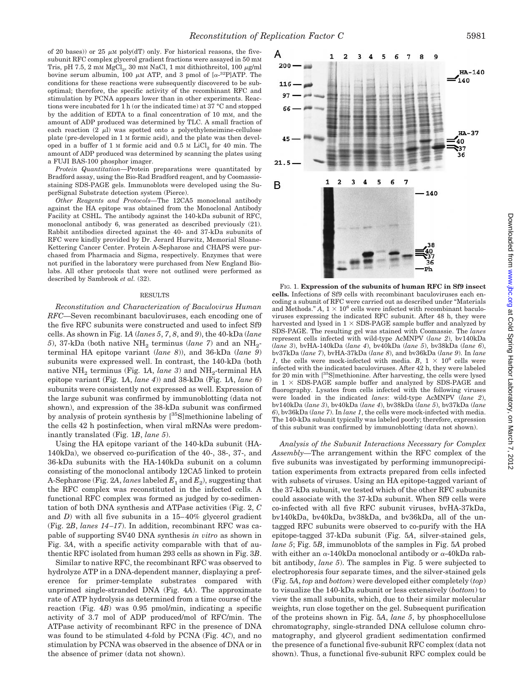of 20 bases)) or 25  $\mu$ M poly(dT) only. For historical reasons, the fivesubunit RFC complex glycerol gradient fractions were assayed in 50 mM Tris, pH 7.5, 2 mM  $MgCl<sub>2</sub>$ , 30 mM NaCl, 1 mM dithiothreitol, 100  $\mu$ g/ml bovine serum albumin, 100  $\mu$ M ATP, and 3 pmol of  $\left[\alpha^{-32}P\right]$ ATP. The conditions for these reactions were subsequently discovered to be suboptimal; therefore, the specific activity of the recombinant RFC and stimulation by PCNA appears lower than in other experiments. Reactions were incubated for 1 h (or the indicated time) at 37 °C and stopped by the addition of EDTA to a final concentration of 10 mM, and the amount of ADP produced was determined by TLC. A small fraction of each reaction  $(2 \mu l)$  was spotted onto a polyethyleneimine-cellulose plate (pre-developed in 1 M formic acid), and the plate was then developed in a buffer of  $1 \text{ M}$  formic acid and  $0.5 \text{ M}$  LiCl<sub>2</sub> for  $40 \text{ min}$ . The amount of ADP produced was determined by scanning the plates using a FUJI BAS-100 phosphor imager.

*Protein Quantitation—*Protein preparations were quantitated by Bradford assay, using the Bio-Rad Bradford reagent, and by Coomassiestaining SDS-PAGE gels. Immunoblots were developed using the SuperSignal Substrate detection system (Pierce).

*Other Reagents and Protocols—*The 12CA5 monoclonal antibody against the HA epitope was obtained from the Monoclonal Antibody Facility at CSHL. The antibody against the 140-kDa subunit of RFC, monoclonal antibody 6, was generated as described previously (21). Rabbit antibodies directed against the 40- and 37-kDa subunits of RFC were kindly provided by Dr. Jerard Hurwitz, Memorial Sloane-Kettering Cancer Center. Protein A-Sepharose and CHAPS were purchased from Pharmacia and Sigma, respectively. Enzymes that were not purified in the laboratory were purchased from New England Biolabs. All other protocols that were not outlined were performed as described by Sambrook *et al.* (32).

#### RESULTS

*Reconstitution and Characterization of Baculovirus Human RFC—*Seven recombinant baculoviruses, each encoding one of the five RFC subunits were constructed and used to infect Sf9 cells. As shown in Fig. 1*A* (*lanes 5*, *7*, *8*, and *9*), the 40-kDa (*lane* 5), 37-kDa (both native  $NH_2$  terminus (*lane 7*) and an  $NH_2$ terminal HA epitope variant (*lane 8*)), and 36-kDa (*lane 9*) subunits were expressed well. In contrast, the 140-kDa (both native  $NH_2$  terminus (Fig. 1A, *lane 3*) and  $NH_2$ -terminal HA epitope variant (Fig. 1*A*, *lane 4*)) and 38-kDa (Fig. 1*A*, *lane 6*) subunits were consistently not expressed as well. Expression of the large subunit was confirmed by immunoblotting (data not shown), and expression of the 38-kDa subunit was confirmed by analysis of protein synthesis by [<sup>35</sup>S]methionine labeling of the cells 42 h postinfection, when viral mRNAs were predominantly translated (Fig. 1*B*, *lane 5*).

Using the HA epitope variant of the 140-kDa subunit (HA-140kDa), we observed co-purification of the 40-, 38-, 37-, and 36-kDa subunits with the HA-140kDa subunit on a column consisting of the monoclonal antibody 12CA5 linked to protein A-Sepharose (Fig. 2A, *lanes* labeled  $E_1$  and  $E_2$ ), suggesting that the RFC complex was reconstituted in the infected cells. A functional RFC complex was formed as judged by co-sedimentation of both DNA synthesis and ATPase activities (Fig. 2, *C* and *D*) with all five subunits in a 15–40% glycerol gradient (Fig. 2*B*, *lanes 14–17*). In addition, recombinant RFC was capable of supporting SV40 DNA synthesis *in vitro* as shown in Fig. 3*A*, with a specific activity comparable with that of authentic RFC isolated from human 293 cells as shown in Fig. 3*B*.

Similar to native RFC, the recombinant RFC was observed to hydrolyze ATP in a DNA-dependent manner, displaying a preference for primer-template substrates compared with unprimed single-stranded DNA (Fig. 4*A*). The approximate rate of ATP hydrolysis as determined from a time course of the reaction (Fig. 4*B*) was 0.95 pmol/min, indicating a specific activity of 3.7 mol of ADP produced/mol of RFC/min. The ATPase activity of recombinant RFC in the presence of DNA was found to be stimulated 4-fold by PCNA (Fig. 4*C*), and no stimulation by PCNA was observed in the absence of DNA or in the absence of primer (data not shown).



FIG. 1. **Expression of the subunits of human RFC in Sf9 insect cells.** Infections of Sf9 cells with recombinant baculoviruses each encoding a subunit of RFC were carried out as described under "Materials and Methods."  $A, 1 \times 10^6$  cells were infected with recombinant baculoviruses expressing the indicated RFC subunit. After 48 h, they were harvested and lysed in  $1 \times$  SDS-PAGE sample buffer and analyzed by SDS-PAGE. The resulting gel was stained with Coomassie. The *lanes* represent cells infected with wild-type AcMNPV (*lane 2*), bv140kDa (*lane 3*), bvHA-140kDa (*lane 4*), bv40kDa (*lane 5*), bv38kDa (*lane 6*), bv37kDa (*lane 7*), bvHA-37kDa (*lane 8*), and bv36kDa (*lane 9*). In *lane 1*, the cells were mock-infected with media. *B*,  $1 \times 10^6$  cells were infected with the indicated baculoviruses. After 42 h, they were labeled for 20 min with [35S]methionine. After harvesting, the cells were lysed in  $1 \times$  SDS-PAGE sample buffer and analyzed by SDS-PAGE and fluorography. Lysates from cells infected with the following viruses were loaded in the indicated *lanes*: wild-type AcMNPV (*lane 2*), bv140kDa (*lane 3*), bv40kDa (*lane 4*), bv38kDa (*lane 5*), bv37kDa (*lane 6*), bv36kDa (*lane 7*). In *lane 1*, the cells were mock-infected with media. The 140-kDa subunit typically was labeled poorly; therefore, expression of this subunit was confirmed by immunoblotting (data not shown).

*Analysis of the Subunit Interactions Necessary for Complex Assembly—*The arrangement within the RFC complex of the five subunits was investigated by performing immunoprecipitation experiments from extracts prepared from cells infected with subsets of viruses. Using an HA epitope-tagged variant of the 37-kDa subunit, we tested which of the other RFC subunits could associate with the 37-kDa subunit. When Sf9 cells were co-infected with all five RFC subunit viruses, bvHA-37kDa, bv140kDa, bv40kDa, bv38kDa, and bv36kDa, all of the untagged RFC subunits were observed to co-purify with the HA epitope-tagged 37-kDa subunit (Fig. 5*A*, silver-stained gels, *lane 5*; Fig. 5*B*, immunoblots of the samples in Fig. 5*A* probed with either an  $\alpha$ -140kDa monoclonal antibody or  $\alpha$ -40kDa rabbit antibody, *lane 5*). The samples in Fig. 5 were subjected to electrophoresis four separate times, and the silver-stained gels (Fig. 5*A*, *top* and *bottom*) were developed either completely (*top*) to visualize the 140-kDa subunit or less extensively (*bottom*) to view the small subunits, which, due to their similar molecular weights, run close together on the gel. Subsequent purification of the proteins shown in Fig. 5*A*, *lane 5*, by phosphocellulose chromatography, single-stranded DNA cellulose column chromatography, and glycerol gradient sedimentation confirmed the presence of a functional five-subunit RFC complex (data not shown). Thus, a functional five-subunit RFC complex could be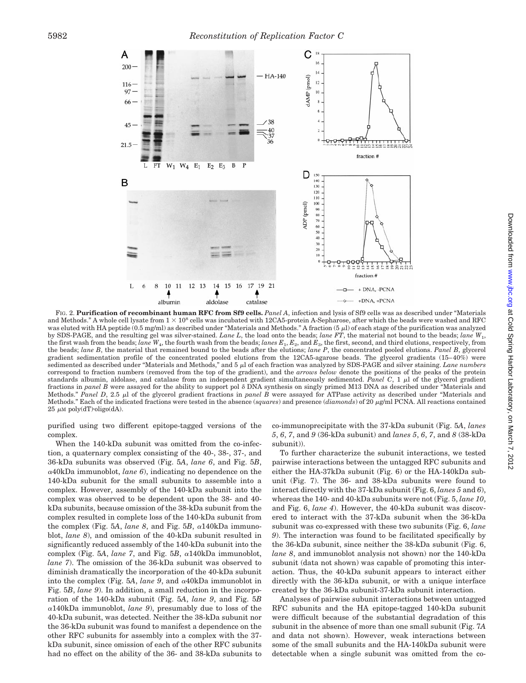

FIG. 2. **Purification of recombinant human RFC from Sf9 cells.** *Panel A*, infection and lysis of Sf9 cells was as described under "Materials and Methods." A whole cell lysate from  $1 \times 10^8$  cells was incubated with 12CA5-protein A-Sepharose, after which the beads were washed and RFC was eluted with HA peptide (0.5 mg/ml) as described under "Materials and Methods." A fraction (5 µl) of each stage of the purification was analyzed by SDS-PAGE, and the resulting gel was silver-stained. *Lane L*, the load onto the beads; *lane FT*, the material not bound to the beads; *lane W*1, the first wash from the beads; *lane W*4, the fourth wash from the beads; *lanes E*1, *E*2, and *E*3, the first, second, and third elutions, respectively, from the beads; *lane B*, the material that remained bound to the beads after the elutions; *lane P*, the concentrated pooled elutions. *Panel B*, glycerol gradient sedimentation profile of the concentrated pooled elutions from the 12CA5-agarose beads. The glycerol gradients (15–40%) were sedimented as described under "Materials and Methods," and 5 µl of each fraction was analyzed by SDS-PAGE and silver staining. *Lane numbers* correspond to fraction numbers (removed from the top of the gradient), and the *arrows below* denote the positions of the peaks of the protein standards albumin, aldolase, and catalase from an independent gradient simultaneously sedimented. Panel C, 1  $\mu$ l of the glycerol gradient fractions in *panel B* were assayed for the ability to support pol  $\delta$  DNA synthesis on singly primed M13 DNA as described under "Materials and Methods." Panel D, 2.5 μl of the glycerol gradient fractions in *panel B* were assayed for ATPase activity as described under "Materials and Methods." Each of the indicated fractions were tested in the absence (*squares*) and presence (*diamonds*) of 20  $\mu$ g/ml PCNA. All reactions contained  $25 \mu M$  poly(dT) $\cdot$ oligo(dA).

purified using two different epitope-tagged versions of the complex.

When the 140-kDa subunit was omitted from the co-infection, a quaternary complex consisting of the 40-, 38-, 37-, and 36-kDa subunits was observed (Fig. 5*A*, *lane 6*, and Fig. 5*B*, <sup>a</sup>40kDa immunoblot, *lane 6*), indicating no dependence on the 140-kDa subunit for the small subunits to assemble into a complex. However, assembly of the 140-kDa subunit into the complex was observed to be dependent upon the 38- and 40 kDa subunits, because omission of the 38-kDa subunit from the complex resulted in complete loss of the 140-kDa subunit from the complex (Fig. 5A, *lane 8*, and Fig. 5B,  $\alpha$ 140kDa immunoblot, *lane 8*), and omission of the 40-kDa subunit resulted in significantly reduced assembly of the 140-kDa subunit into the complex (Fig. 5*A*, *lane 7*, and Fig. 5*B*, <sup>a</sup>140kDa immunoblot, *lane 7*). The omission of the 36-kDa subunit was observed to diminish dramatically the incorporation of the 40-kDa subunit into the complex (Fig. 5*A*, *lane 9*, and <sup>a</sup>40kDa immunoblot in Fig. 5*B*, *lane 9*). In addition, a small reduction in the incorporation of the 140-kDa subunit (Fig. 5*A*, *lane 9*, and Fig. 5*B*  $\alpha$ 140kDa immunoblot, *lane* 9), presumably due to loss of the 40-kDa subunit, was detected. Neither the 38-kDa subunit nor the 36-kDa subunit was found to manifest a dependence on the other RFC subunits for assembly into a complex with the 37 kDa subunit, since omission of each of the other RFC subunits had no effect on the ability of the 36- and 38-kDa subunits to co-immunoprecipitate with the 37-kDa subunit (Fig. 5*A*, *lanes 5*, *6*, *7*, and *9* (36-kDa subunit) and *lanes 5*, *6*, *7*, and *8* (38-kDa subunit)).

To further characterize the subunit interactions, we tested pairwise interactions between the untagged RFC subunits and either the HA-37kDa subunit (Fig. 6) or the HA-140kDa subunit (Fig. 7). The 36- and 38-kDa subunits were found to interact directly with the 37-kDa subunit (Fig. 6, *lanes 5* and *6*), whereas the 140- and 40-kDa subunits were not (Fig. 5, *lane 10*, and Fig. 6, *lane 4*). However, the 40-kDa subunit was discovered to interact with the 37-kDa subunit when the 36-kDa subunit was co-expressed with these two subunits (Fig. 6, *lane 9*). The interaction was found to be facilitated specifically by the 36-kDa subunit, since neither the 38-kDa subunit (Fig. 6, *lane 8*, and immunoblot analysis not shown) nor the 140-kDa subunit (data not shown) was capable of promoting this interaction. Thus, the 40-kDa subunit appears to interact either directly with the 36-kDa subunit, or with a unique interface created by the 36-kDa subunit-37-kDa subunit interaction.

Analyses of pairwise subunit interactions between untagged RFC subunits and the HA epitope-tagged 140-kDa subunit were difficult because of the substantial degradation of this subunit in the absence of more than one small subunit (Fig. 7*A* and data not shown). However, weak interactions between some of the small subunits and the HA-140kDa subunit were detectable when a single subunit was omitted from the co-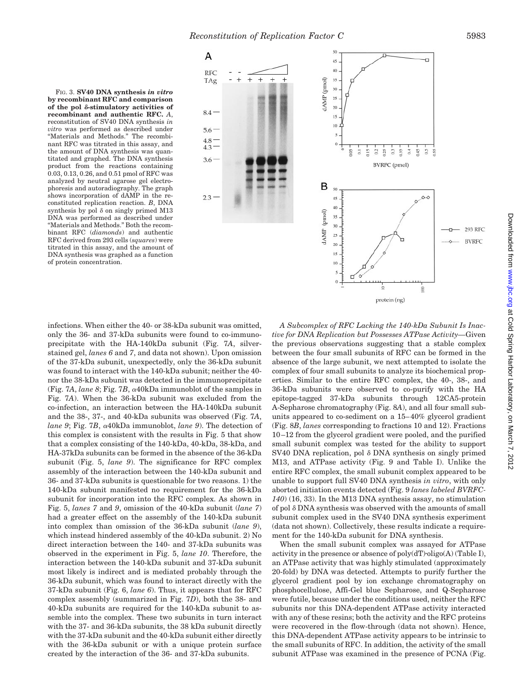FIG. 3. **SV40 DNA synthesis** *in vitro* **by recombinant RFC and comparison** of the pol  $\delta$ -stimulatory activities of **recombinant and authentic RFC.** *A*, reconstitution of SV40 DNA synthesis *in vitro* was performed as described under "Materials and Methods." The recombinant RFC was titrated in this assay, and the amount of DNA synthesis was quantitated and graphed. The DNA synthesis product from the reactions containing 0.03, 0.13, 0.26, and 0.51 pmol of RFC was analyzed by neutral agarose gel electrophoresis and autoradiography. The graph shows incorporation of dAMP in the reconstituted replication reaction. *B*, DNA synthesis by pol  $\delta$  on singly primed M13 DNA was performed as described under "Materials and Methods." Both the recombinant RFC (*diamonds*) and authentic RFC derived from 293 cells (*squares*) were titrated in this assay, and the amount of DNA synthesis was graphed as a function of protein concentration.



infections. When either the 40- or 38-kDa subunit was omitted, only the 36- and 37-kDa subunits were found to co-immunoprecipitate with the HA-140kDa subunit (Fig. 7*A*, silverstained gel, *lanes 6* and *7*, and data not shown). Upon omission of the 37-kDa subunit, unexpectedly, only the 36-kDa subunit was found to interact with the 140-kDa subunit; neither the 40 nor the 38-kDa subunit was detected in the immunoprecipitate (Fig. 7*A*, *lane* 8; Fig. 7*B*,  $\alpha$ 40kDa immunoblot of the samples in Fig. 7*A*). When the 36-kDa subunit was excluded from the co-infection, an interaction between the HA-140kDa subunit and the 38-, 37-, and 40-kDa subunits was observed (Fig. 7*A*, *lane 9*; Fig. 7*B*, <sup>a</sup>40kDa immunoblot, *lane 9*). The detection of this complex is consistent with the results in Fig. 5 that show that a complex consisting of the 140-kDa, 40-kDa, 38-kDa, and HA-37kDa subunits can be formed in the absence of the 36-kDa subunit (Fig. 5, *lane 9*). The significance for RFC complex assembly of the interaction between the 140-kDa subunit and 36- and 37-kDa subunits is questionable for two reasons. 1) the 140-kDa subunit manifested no requirement for the 36-kDa subunit for incorporation into the RFC complex. As shown in Fig. 5, *lanes 7* and *9*, omission of the 40-kDa subunit (*lane 7*) had a greater effect on the assembly of the 140-kDa subunit into complex than omission of the 36-kDa subunit (*lane 9*), which instead hindered assembly of the 40-kDa subunit. 2) No direct interaction between the 140- and 37-kDa subunits was observed in the experiment in Fig. 5, *lane 10*. Therefore, the interaction between the 140-kDa subunit and 37-kDa subunit most likely is indirect and is mediated probably through the 36-kDa subunit, which was found to interact directly with the 37-kDa subunit (Fig. 6, *lane 6*). Thus, it appears that for RFC complex assembly (summarized in Fig. 7*D*), both the 38- and 40-kDa subunits are required for the 140-kDa subunit to assemble into the complex. These two subunits in turn interact with the 37- and 36-kDa subunits, the 38 kDa subunit directly with the 37-kDa subunit and the 40-kDa subunit either directly with the 36-kDa subunit or with a unique protein surface created by the interaction of the 36- and 37-kDa subunits.

*A Subcomplex of RFC Lacking the 140-kDa Subunit Is Inactive for DNA Replication but Possesses ATPase Activity—*Given the previous observations suggesting that a stable complex between the four small subunits of RFC can be formed in the absence of the large subunit, we next attempted to isolate the complex of four small subunits to analyze its biochemical properties. Similar to the entire RFC complex, the 40-, 38-, and 36-kDa subunits were observed to co-purify with the HA epitope-tagged 37-kDa subunits through 12CA5-protein A-Sepharose chromatography (Fig. 8*A*), and all four small subunits appeared to co-sediment on a 15–40% glycerol gradient (Fig. 8*B*, *lanes* corresponding to fractions 10 and 12). Fractions 10–12 from the glycerol gradient were pooled, and the purified small subunit complex was tested for the ability to support SV40 DNA replication, pol  $\delta$  DNA synthesis on singly primed M13, and ATPase activity (Fig. 9 and Table I). Unlike the entire RFC complex, the small subunit complex appeared to be unable to support full SV40 DNA synthesis *in vitro*, with only aborted initiation events detected (Fig. 9 *lanes labeled BVRFC-140*) (16, 33). In the M13 DNA synthesis assay, no stimulation of pol  $\delta$  DNA synthesis was observed with the amounts of small subunit complex used in the SV40 DNA synthesis experiment (data not shown). Collectively, these results indicate a requirement for the 140-kDa subunit for DNA synthesis.

protein (ng)

When the small subunit complex was assayed for ATPase activity in the presence or absence of  $poly(dT)$ ·oligo(A) (Table I), an ATPase activity that was highly stimulated (approximately 20-fold) by DNA was detected. Attempts to purify further the glycerol gradient pool by ion exchange chromatography on phosphocellulose, Affi-Gel blue Sepharose, and Q-Sepharose were futile, because under the conditions used, neither the RFC subunits nor this DNA-dependent ATPase activity interacted with any of these resins; both the activity and the RFC proteins were recovered in the flow-through (data not shown). Hence, this DNA-dependent ATPase activity appears to be intrinsic to the small subunits of RFC. In addition, the activity of the small subunit ATPase was examined in the presence of PCNA (Fig.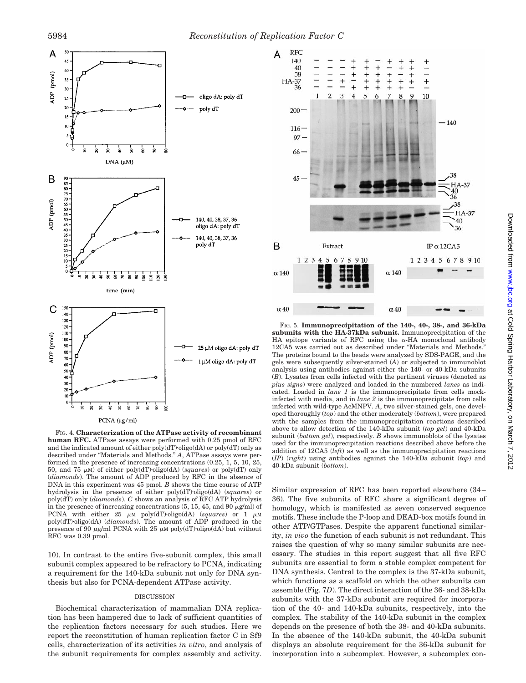

FIG. 4. **Characterization of the ATPase activity of recombinant human RFC.** ATPase assays were performed with 0.25 pmol of RFC and the indicated amount of either  $poly(dT)$ ·oligo(dA) or  $poly(dT)$  only as described under "Materials and Methods." *A*, ATPase assays were performed in the presence of increasing concentrations (0.25, 1, 5, 10, 25, 50, and 75  $\mu$ M) of either poly(dT)·oligo(dA) (*squares*) or poly(dT) only (*diamonds*). The amount of ADP produced by RFC in the absence of DNA in this experiment was 45 pmol. *B* shows the time course of ATP hydrolysis in the presence of either poly(dT)·oligo(dA) (*squares*) or poly(dT) only (*diamonds*). *C* shows an analysis of RFC ATP hydrolysis in the presence of increasing concentrations  $(5, 15, 45,$  and  $90 \mu g/ml)$  of PCNA with either  $25 \mu M$  poly(dT)·oligo(dA) (*squares*) or  $1 \mu M$ poly(dT)·oligo(dA) (*diamonds*). The amount of ADP produced in the presence of 90  $\mu$ g/ml PCNA with 25  $\mu$ M poly(dT)·oligo(dA) but without RFC was 0.39 pmol.

10). In contrast to the entire five-subunit complex, this small subunit complex appeared to be refractory to PCNA, indicating a requirement for the 140-kDa subunit not only for DNA synthesis but also for PCNA-dependent ATPase activity.

#### DISCUSSION

Biochemical characterization of mammalian DNA replication has been hampered due to lack of sufficient quantities of the replication factors necessary for such studies. Here we report the reconstitution of human replication factor C in Sf9 cells, characterization of its activities *in vitro*, and analysis of the subunit requirements for complex assembly and activity.



FIG. 5. **Immunoprecipitation of the 140-, 40-, 38-, and 36-kDa subunits with the HA-37kDa subunit.** Immunoprecipitation of the HA epitope variants of RFC using the  $\alpha$ -HA monoclonal antibody 12CA5 was carried out as described under "Materials and Methods." The proteins bound to the beads were analyzed by SDS-PAGE, and the gels were subsequently silver-stained (*A*) or subjected to immunoblot analysis using antibodies against either the 140- or 40-kDa subunits (*B*). Lysates from cells infected with the pertinent viruses (denoted as *plus signs*) were analyzed and loaded in the numbered *lanes* as indicated. Loaded in *lane 1* is the immunoprecipitate from cells mockinfected with media, and in *lane 2* is the immunoprecipitate from cells infected with wild-type AcMNPV. *A*, two silver-stained gels, one developed thoroughly (*top*) and the other moderately (*bottom*), were prepared with the samples from the immunoprecipitation reactions described above to allow detection of the 140-kDa subunit (*top gel*) and 40-kDa subunit (*bottom gel*), respectively. *B* shows immunoblots of the lysates used for the immunoprecipitation reactions described above before the addition of 12CA5 (*left*) as well as the immunoprecipitation reactions (*IP*) (*right*) using antibodies against the 140-kDa subunit (*top*) and 40-kDa subunit (*bottom*).

Similar expression of RFC has been reported elsewhere (34– 36). The five subunits of RFC share a significant degree of homology, which is manifested as seven conserved sequence motifs. These include the P-loop and DEAD-box motifs found in other ATP/GTPases. Despite the apparent functional similarity, *in vivo* the function of each subunit is not redundant. This raises the question of why so many similar subunits are necessary. The studies in this report suggest that all five RFC subunits are essential to form a stable complex competent for DNA synthesis. Central to the complex is the 37-kDa subunit, which functions as a scaffold on which the other subunits can assemble (Fig. 7*D*). The direct interaction of the 36- and 38-kDa subunits with the 37-kDa subunit are required for incorporation of the 40- and 140-kDa subunits, respectively, into the complex. The stability of the 140-kDa subunit in the complex depends on the presence of both the 38- and 40-kDa subunits. In the absence of the 140-kDa subunit, the 40-kDa subunit displays an absolute requirement for the 36-kDa subunit for incorporation into a subcomplex. However, a subcomplex con-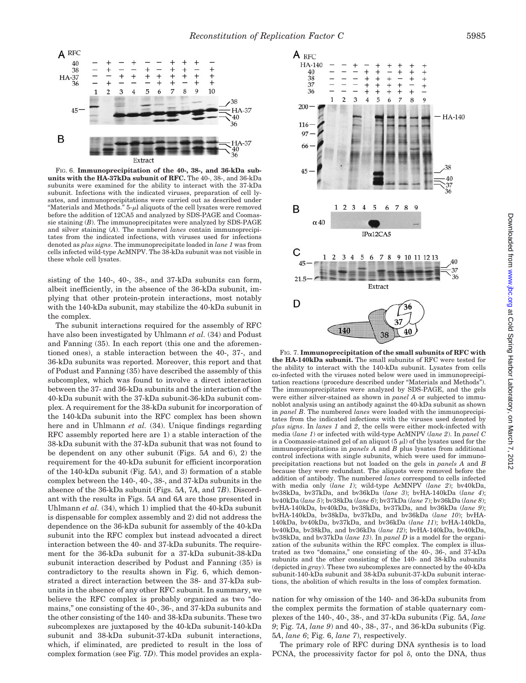

FIG. 6. **Immunoprecipitation of the 40-, 38-, and 36-kDa subunits with the HA-37kDa subunit of RFC.** The 40-, 38-, and 36-kDa subunits were examined for the ability to interact with the 37-kDa subunit. Infections with the indicated viruses, preparation of cell lysates, and immunoprecipitations were carried out as described under "Materials and Methods."  $5-\mu l$  aliquots of the cell lysates were removed before the addition of 12CA5 and analyzed by SDS-PAGE and Coomassie staining (*B*). The immunoprecipitates were analyzed by SDS-PAGE and silver staining (*A*). The numbered *lanes* contain immunoprecipitates from the indicated infections, with viruses used for infections denoted as *plus signs*. The immunoprecipitate loaded in *lane 1* was from cells infected wild-type AcMNPV. The 38-kDa subunit was not visible in these whole cell lysates.

sisting of the 140-, 40-, 38-, and 37-kDa subunits can form, albeit inefficiently, in the absence of the 36-kDa subunit, implying that other protein-protein interactions, most notably with the 140-kDa subunit, may stabilize the 40-kDa subunit in the complex.

The subunit interactions required for the assembly of RFC have also been investigated by Uhlmann *et al.* (34) and Podust and Fanning (35). In each report (this one and the aforementioned ones), a stable interaction between the 40-, 37-, and 36-kDa subunits was reported. Moreover, this report and that of Podust and Fanning (35) have described the assembly of this subcomplex, which was found to involve a direct interaction between the 37- and 36-kDa subunits and the interaction of the 40-kDa subunit with the 37-kDa subunit-36-kDa subunit complex. A requirement for the 38-kDa subunit for incorporation of the 140-kDa subunit into the RFC complex has been shown here and in Uhlmann *et al.* (34). Unique findings regarding RFC assembly reported here are 1) a stable interaction of the 38-kDa subunit with the 37-kDa subunit that was not found to be dependent on any other subunit (Figs. 5*A* and 6), 2) the requirement for the 40-kDa subunit for efficient incorporation of the 140-kDa subunit (Fig. 5*A*), and 3) formation of a stable complex between the 140-, 40-, 38-, and 37-kDa subunits in the absence of the 36-kDa subunit (Figs. 5*A*, 7*A*, and 7*B*). Discordant with the results in Figs. 5*A* and 6*A* are those presented in Uhlmann *et al.* (34), which 1) implied that the 40-kDa subunit is dispensable for complex assembly and 2) did not address the dependence on the 36-kDa subunit for assembly of the 40-kDa subunit into the RFC complex but instead advocated a direct interaction between the 40- and 37-kDa subunits. The requirement for the 36-kDa subunit for a 37-kDa subunit-38-kDa subunit interaction described by Podust and Fanning (35) is contradictory to the results shown in Fig. 6, which demonstrated a direct interaction between the 38- and 37-kDa subunits in the absence of any other RFC subunit. In summary, we believe the RFC complex is probably organized as two "domains," one consisting of the 40-, 36-, and 37-kDa subunits and the other consisting of the 140- and 38-kDa subunits. These two subcomplexes are juxtaposed by the 40-kDa subunit-140-kDa subunit and 38-kDa subunit-37-kDa subunit interactions, which, if eliminated, are predicted to result in the loss of complex formation (see Fig. 7*D*). This model provides an expla-



FIG. 7. **Immunoprecipitation of the small subunits of RFC with the HA-140kDa subunit.** The small subunits of RFC were tested for the ability to interact with the 140-kDa subunit. Lysates from cells co-infected with the viruses noted below were used in immunoprecipitation reactions (procedure described under "Materials and Methods"). The immunoprecipitates were analyzed by SDS-PAGE, and the gels were either silver-stained as shown in *panel A* or subjected to immunoblot analysis using an antibody against the 40-kDa subunit as shown in *panel B*. The numbered *lanes* were loaded with the immunoprecipitates from the indicated infections with the viruses used denoted by *plus signs*. In *lanes 1* and *2*, the cells were either mock-infected with media (*lane 1*) or infected with wild-type AcMNPV (*lane 2*). In *panel C* is a Coomassie-stained gel of an aliquot  $(5 \mu l)$  of the lysates used for the immunoprecipitations in *panels A* and *B* plus lysates from additional control infections with single subunits, which were used for immunoprecipitation reactions but not loaded on the gels in *panels A* and *B* because they were redundant. The aliquots were removed before the addition of antibody. The numbered *lanes* correspond to cells infected with media only (*lane 1*); wild-type AcMNPV (*lane 2*); bv40kDa, bv38kDa, bv37kDa, and bv36kDa (*lane 3*); bvHA-140kDa (*lane 4*); bv40kDa (*lane 5*); bv38kDa (*lane 6*); bv37kDa (*lane 7*); bv36kDa (*lane 8*); bvHA-140kDa, bv40kDa, bv38kDa, bv37kDa, and bv36kDa (*lane 9*); bvHA-140kDa, bv38kDa, bv37kDa, and bv36kDa (*lane 10*); bvHA-140kDa, bv40kDa, bv37kDa, and bv36kDa (*lane 11*); bvHA-140kDa, bv40kDa, bv38kDa, and bv36kDa (*lane 12*); bvHA-140kDa, bv40kDa, bv38kDa, and bv37kDa (*lane 13*). In *panel D* is a model for the organization of the subunits within the RFC complex. The complex is illustrated as two "domains," one consisting of the 40-, 36-, and 37-kDa subunits and the other consisting of the 140- and 38-kDa subunits (depicted in *gray*). These two subcomplexes are connected by the 40-kDa subunit-140-kDa subunit and 38-kDa subunit-37-kDa subunit interactions, the abolition of which results in the loss of complex formation.

nation for why omission of the 140- and 36-kDa subunits from the complex permits the formation of stable quaternary complexes of the 140-, 40-, 38-, and 37-kDa subunits (Fig. 5*A*, *lane 9*; Fig. 7*A*, *lane 9*) and 40-, 38-, 37-, and 36-kDa subunits (Fig. 5*A*, *lane 6*; Fig. 6, *lane 7*), respectively.

The primary role of RFC during DNA synthesis is to load PCNA, the processivity factor for pol  $\delta$ , onto the DNA, thus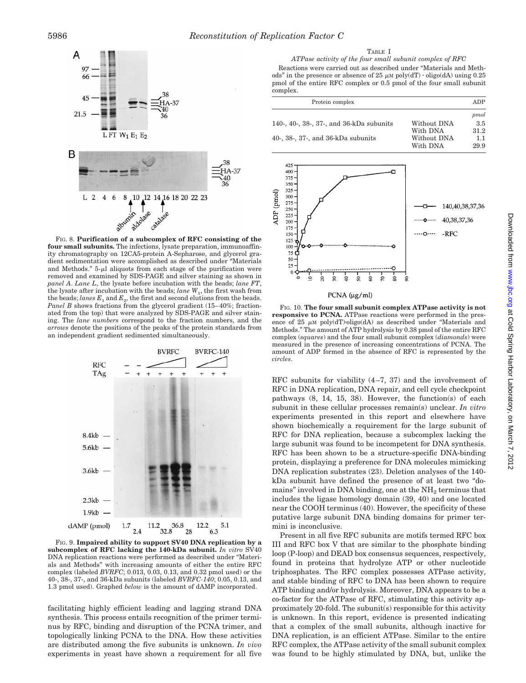

FIG. 8. **Purification of a subcomplex of RFC consisting of the four small subunits.** The infections, lysate preparation, immunoaffinity chromatography on 12CA5-protein A-Sepharose, and glycerol gradient sedimentation were accomplished as described under "Materials and Methods."  $5-\mu l$  aliquots from each stage of the purification were removed and examined by SDS-PAGE and silver staining as shown in *panel A*. *Lane L*, the lysate before incubation with the beads; *lane FT*, the lysate after incubation with the beads; *lane*  $W_1$ , the first wash from the beads; *lanes*  $E_1$  and  $E_2$ , the first and second elutions from the beads. *Panel B* shows fractions from the glycerol gradient (15–40%; fractionated from the top) that were analyzed by SDS-PAGE and silver staining. The *lane numbers* correspond to the fraction numbers, and the *arrows* denote the positions of the peaks of the protein standards from an independent gradient sedimented simultaneously.



FIG. 9. **Impaired ability to support SV40 DNA replication by a subcomplex of RFC lacking the 140-kDa subunit.** *In vitro* SV40 DNA replication reactions were performed as described under "Materials and Methods" with increasing amounts of either the entire RFC complex (labeled *BVRFC*; 0.013, 0.03, 0.13, and 0.32 pmol used) or the 40-, 38-, 37-, and 36-kDa subunits (labeled *BVRFC-140*; 0.05, 0.13, and 1.3 pmol used). Graphed *below* is the amount of dAMP incorporated.

facilitating highly efficient leading and lagging strand DNA synthesis. This process entails recognition of the primer terminus by RFC, binding and disruption of the PCNA trimer, and topologically linking PCNA to the DNA. How these activities are distributed among the five subunits is unknown. *In vivo* experiments in yeast have shown a requirement for all five

*ATPase activity of the four small subunit complex of RFC* Reactions were carried out as described under "Materials and Methods" in the presence or absence of 25  $\mu$ M poly(dT)  $\cdot$  oligo(dA) using 0.25 pmol of the entire RFC complex or 0.5 pmol of the four small subunit complex.

| Protein complex                          |             | ADP  |
|------------------------------------------|-------------|------|
|                                          |             | pmol |
| 140-, 40-, 38-, 37-, and 36-kDa subunits | Without DNA | 3.5  |
|                                          | With DNA    | 31.2 |
| 40-, 38-, 37-, and 36-kDa subunits       | Without DNA | 1.1  |
|                                          | With DNA    | 29.9 |



### PCNA  $(\mu g/ml)$

FIG. 10. **The four small subunit complex ATPase activity is not responsive to PCNA.** ATPase reactions were performed in the presence of 25  $\mu$ M poly(dT)·oligo(dA) as described under "Materials and Methods." The amount of ATP hydrolysis by 0.38 pmol of the entire RFC complex (*squares*) and the four small subunit complex (*diamonds*) were measured in the presence of increasing concentrations of PCNA. The amount of ADP formed in the absence of RFC is represented by the *circles*.

RFC subunits for viability (4–7, 37) and the involvement of RFC in DNA replication, DNA repair, and cell cycle checkpoint pathways (8, 14, 15, 38). However, the function(s) of each subunit in these cellular processes remain(s) unclear. *In vitro* experiments presented in this report and elsewhere have shown biochemically a requirement for the large subunit of RFC for DNA replication, because a subcomplex lacking the large subunit was found to be incompetent for DNA synthesis. RFC has been shown to be a structure-specific DNA-binding protein, displaying a preference for DNA molecules mimicking DNA replication substrates (23). Deletion analyses of the 140 kDa subunit have defined the presence of at least two "domains" involved in DNA binding, one at the  $NH<sub>2</sub>$  terminus that includes the ligase homology domain (39, 40) and one located near the COOH terminus (40). However, the specificity of these putative large subunit DNA binding domains for primer termini is inconclusive.

Present in all five RFC subunits are motifs termed RFC box III and RFC box V that are similar to the phosphate binding loop (P-loop) and DEAD box consensus sequences, respectively, found in proteins that hydrolyze ATP or other nucleotide triphosphates. The RFC complex possesses ATPase activity, and stable binding of RFC to DNA has been shown to require ATP binding and/or hydrolysis. Moreover, DNA appears to be a co-factor for the ATPase of RFC, stimulating this activity approximately 20-fold. The subunit(s) responsible for this activity is unknown. In this report, evidence is presented indicating that a complex of the small subunits, although inactive for DNA replication, is an efficient ATPase. Similar to the entire RFC complex, the ATPase activity of the small subunit complex was found to be highly stimulated by DNA, but, unlike the